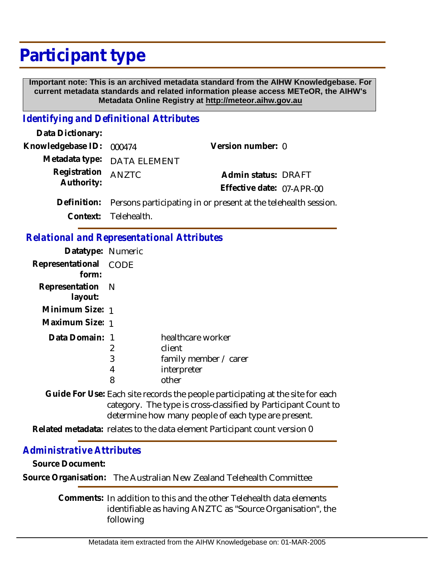## **Participant type**

 **Important note: This is an archived metadata standard from the AIHW Knowledgebase. For current metadata standards and related information please access METeOR, the AIHW's Metadata Online Registry at http://meteor.aihw.gov.au**

## *Identifying and Definitional Attributes*

| Data Dictionary:         |                                                                |                           |  |
|--------------------------|----------------------------------------------------------------|---------------------------|--|
| Knowledgebase ID: 000474 |                                                                | Version number: 0         |  |
|                          | Metadata type: DATA ELEMENT                                    |                           |  |
| Registration             | <b>ANZTC</b>                                                   | Admin status: DRAFT       |  |
| Authority:               |                                                                | Effective date: 07-APR-00 |  |
| Definition:              | Persons participating in or present at the telehealth session. |                           |  |
|                          | Context: Telehealth.                                           |                           |  |

## *Relational and Representational Attributes*

| Datatype: Numeric              |                  |                                                                              |
|--------------------------------|------------------|------------------------------------------------------------------------------|
| Representational CODE<br>form: |                  |                                                                              |
| Representation N<br>layout:    |                  |                                                                              |
| Minimum Size: 1                |                  |                                                                              |
| Maximum Size: 1                |                  |                                                                              |
| Data Domain: 1                 | 2<br>3<br>4<br>8 | healthcare worker<br>client<br>family member / carer<br>interpreter<br>other |

Guide For Use: Each site records the people participating at the site for each category. The type is cross-classified by Participant Count to determine how many people of each type are present.

Related metadata: relates to the data element Participant count version 0

## *Administrative Attributes*

**Source Document:**

**Source Organisation:** The Australian New Zealand Telehealth Committee

Comments: In addition to this and the other Telehealth data elements identifiable as having ANZTC as "Source Organisation", the following